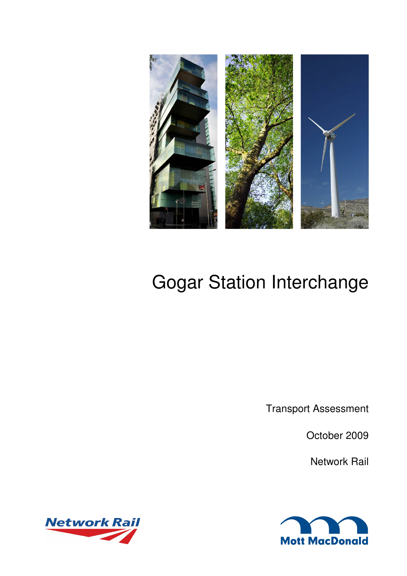

# Gogar Station Interchange

Transport Assessment

October 2009

Network Rail



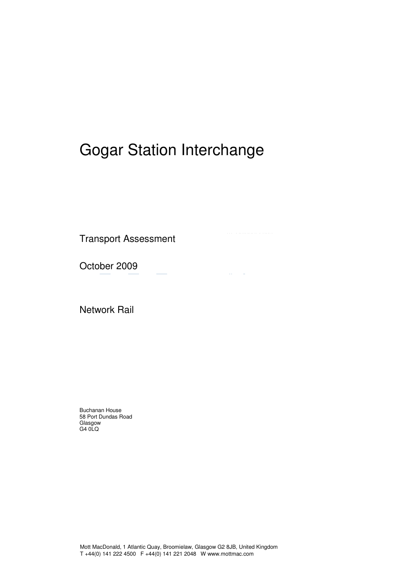# Gogar Station Interchange

 $\bar{\phantom{a}}$ 

Transport Assessment

October 2009

Network Rail

Buchanan House 58 Port Dundas Road Glasgow G4 0LQ

Mott MacDonald, 1 Atlantic Quay, Broomielaw, Glasgow G2 8JB, United Kingdom T +44(0) 141 222 4500 F +44(0) 141 221 2048 W www.mottmac.com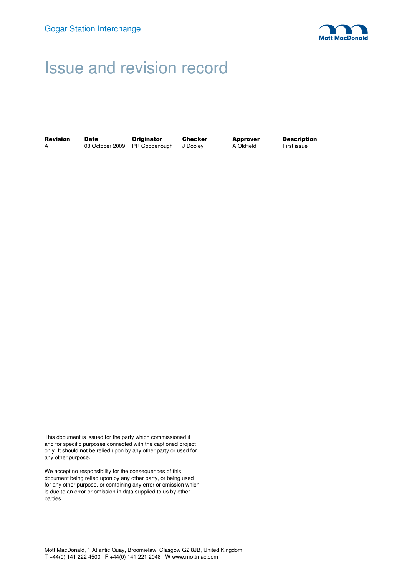

## Issue and revision record

| <b>Revision</b> | Date | <b>Originator</b>                      | Checker | Approver   | <b>Description</b> |
|-----------------|------|----------------------------------------|---------|------------|--------------------|
|                 |      | 08 October 2009 PR Goodenough J Dooley |         | A Oldfield | First issue        |

This document is issued for the party which commissioned it and for specific purposes connected with the captioned project only. It should not be relied upon by any other party or used for any other purpose.

We accept no responsibility for the consequences of this document being relied upon by any other party, or being used for any other purpose, or containing any error or omission which is due to an error or omission in data supplied to us by other parties.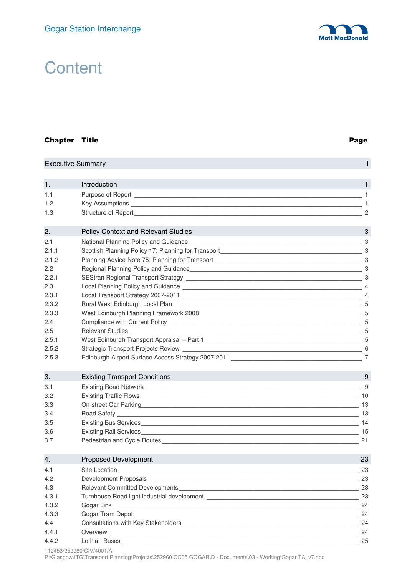

# **Content**

#### Chapter Title Page

|       | <b>Executive Summary</b>                                                                                                                                                                                                            |                |
|-------|-------------------------------------------------------------------------------------------------------------------------------------------------------------------------------------------------------------------------------------|----------------|
|       |                                                                                                                                                                                                                                     |                |
| 1.    | Introduction                                                                                                                                                                                                                        | 1              |
| 1.1   |                                                                                                                                                                                                                                     | $\overline{1}$ |
| 1.2   | Key Assumptions Learning Communications and the Communications of the Communications of the Communications of the Communications of the Communications of the Communications of the Communications of the Communications of th      | $\overline{1}$ |
| 1.3   | Structure of Report <b>Executive Structure</b> of Apple                                                                                                                                                                             | $\overline{2}$ |
| 2.    | <b>Policy Context and Relevant Studies</b>                                                                                                                                                                                          | 3              |
| 2.1   |                                                                                                                                                                                                                                     |                |
| 2.1.1 | Scottish Planning Policy 17: Planning for Transport North American Control of Contractor Control of Contractor Control of Contractor Control of Contractor Control of Contractor Control of Contractor Control of Control of C      |                |
| 2.1.2 | Planning Advice Note 75: Planning for Transport Material Contract of Contract of Contract of Contract of Contract of Contract of Contract of Contract of Contract of Contract of Contract of Contract of Contract of Contract       |                |
| 2.2   |                                                                                                                                                                                                                                     |                |
| 2.2.1 |                                                                                                                                                                                                                                     |                |
| 2.3   |                                                                                                                                                                                                                                     |                |
| 2.3.1 | Local Transport Strategy 2007-2011 Lease and the contract of the contract of the contract of the contract of the contract of the contract of the contract of the contract of the contract of the contract of the contract of t      | $\overline{4}$ |
| 2.3.2 | Rural West Edinburgh Local Plan <b>Construction Construction Construction</b> Construction Construction Construction C                                                                                                              |                |
| 2.3.3 | West Edinburgh Planning Framework 2008 Contract and the contract of the contract of the contract of the contract of the contract of the contract of the contract of the contract of the contract of the contract of the contra      |                |
| 2.4   |                                                                                                                                                                                                                                     |                |
| 2.5   | Relevant Studies 55 and 2008 and 2009 and 2009 and 2009 and 2009 and 2009 and 2009 and 2009 and 2009 and 2009                                                                                                                       |                |
| 2.5.1 | West Edinburgh Transport Appraisal - Part 1                                                                                                                                                                                         |                |
| 2.5.2 |                                                                                                                                                                                                                                     | -6             |
| 2.5.3 | Edinburgh Airport Surface Access Strategy 2007-2011 [19] The Contract of the Contract of the Contract of the Contract of the Contract of the Contract of the Contract of the Contract of the Contract of the Contract of the C      | 7              |
| 3.    | <b>Existing Transport Conditions</b>                                                                                                                                                                                                | 9              |
| 3.1   | Existing Road Network <b>Existence</b> Controller and the Controller Controller and the Controller Controller and the Controller and Controller and Controller and Controller and Controller and Controller and Controller and Cont | 9              |
| 3.2   | Existing Traffic Flows 2008 2009 10 2009 10 2009 10 2009 10 2009 10 2009 10 2009 10 2009 10 2009 10 2009 10 20                                                                                                                      |                |
| 3.3   | On-street Car Parking 13                                                                                                                                                                                                            |                |
| 3.4   |                                                                                                                                                                                                                                     |                |
| 3.5   |                                                                                                                                                                                                                                     |                |
| 3.6   | Existing Rail Services                                                                                                                                                                                                              | 15             |
| 3.7   |                                                                                                                                                                                                                                     | 21             |
| 4.    | <b>Proposed Development</b>                                                                                                                                                                                                         | 23             |
| 4.1   | <u> 1989 - Johann Stoff, deutscher Stoff, der Stoff, der Stoff, der Stoff, der Stoff, der Stoff, der Stoff, der S</u><br>Site Location                                                                                              | 23             |
| 4.2   | Development Proposals experience and the contract of the contract of the contract of the contract of the contract of the contract of the contract of the contract of the contract of the contract of the contract of the contr      | -23            |
| 4.3   | Relevant Committed Developments <b>Exercísion Contract Committed Developments</b>                                                                                                                                                   | 23             |
| 4.3.1 |                                                                                                                                                                                                                                     | 23             |

112453/252960/CIV/4001/A

P:\Glasgow\ITG\Transport Planning\Projects\252960 CC05 GOGAR\D - Documents\03 - Working\Gogar TA\_v7.doc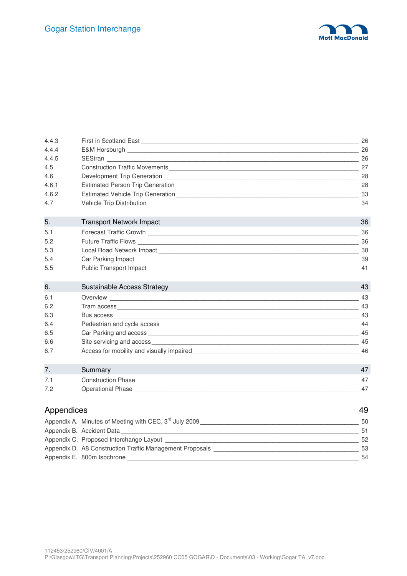

| 4.4.3      |                                                                                                                                                                                                                                |    |
|------------|--------------------------------------------------------------------------------------------------------------------------------------------------------------------------------------------------------------------------------|----|
| 4.4.4      | E&M Horsburgh 26                                                                                                                                                                                                               |    |
| 4.4.5      |                                                                                                                                                                                                                                |    |
| 4.5        |                                                                                                                                                                                                                                |    |
| 4.6        | Development Trip Generation [1994] [1994] [1995] [1996] [1996] [1996] [1996] [1996] [1996] [1996] [1996] [1996] [1996] [1996] [1996] [1996] [1996] [1996] [1996] [1996] [1996] [1996] [1996] [1996] [1996] [1996] [1996] [1996 | 28 |
| 4.6.1      |                                                                                                                                                                                                                                |    |
| 4.6.2      |                                                                                                                                                                                                                                |    |
| 4.7        |                                                                                                                                                                                                                                |    |
| 5.         | <b>Transport Network Impact</b>                                                                                                                                                                                                | 36 |
| 5.1        |                                                                                                                                                                                                                                | 36 |
| 5.2        |                                                                                                                                                                                                                                |    |
| 5.3        |                                                                                                                                                                                                                                |    |
| 5.4        |                                                                                                                                                                                                                                | 39 |
| 5.5        |                                                                                                                                                                                                                                | 41 |
| 6.         | Sustainable Access Strategy                                                                                                                                                                                                    | 43 |
| 6.1        |                                                                                                                                                                                                                                |    |
| 6.2        |                                                                                                                                                                                                                                |    |
| 6.3        |                                                                                                                                                                                                                                |    |
| 6.4        |                                                                                                                                                                                                                                |    |
| 6.5        |                                                                                                                                                                                                                                | 45 |
| 6.6        |                                                                                                                                                                                                                                | 45 |
| 6.7        | Access for mobility and visually impaired Access of the state of the state of the state of the state of the state of the state of the state of the state of the state of the state of the state of the state of the state of t | 46 |
| 7.         | Summary                                                                                                                                                                                                                        | 47 |
| 7.1        | Construction Phase <b>Construction</b> Phase <b>Construction</b> Phase <b>Construction</b> Phase <b>Construction</b> Phase <b>Construction</b>                                                                                 | 47 |
| 7.2        |                                                                                                                                                                                                                                | 47 |
| Appendices |                                                                                                                                                                                                                                | 49 |
|            |                                                                                                                                                                                                                                |    |
|            |                                                                                                                                                                                                                                |    |
|            | Appendix C. Proposed Interchange Layout                                                                                                                                                                                        | 52 |
|            |                                                                                                                                                                                                                                |    |

Appendix D. A8 Construction Traffic Management Proposals \_\_\_\_\_\_\_\_\_\_\_\_\_\_\_\_\_\_\_\_\_\_\_\_\_\_\_\_\_\_\_\_\_\_\_\_\_\_\_\_\_\_ 53

Appendix E. 800m Isochrone \_\_\_\_\_\_\_\_\_\_\_\_\_\_\_\_\_\_\_\_\_\_\_\_\_\_\_\_\_\_\_\_\_\_\_\_\_\_\_\_\_\_\_\_\_\_\_\_\_\_\_\_\_\_\_\_\_\_\_\_\_\_\_\_\_\_\_ 54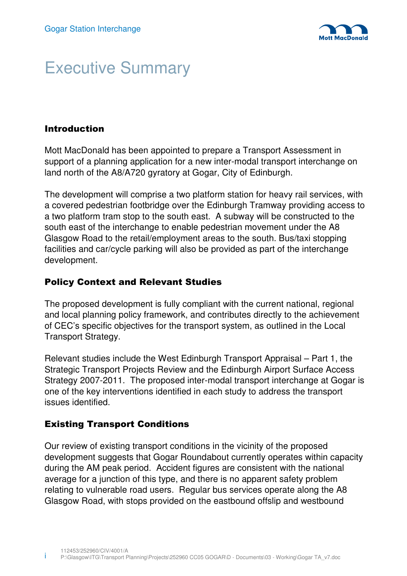

# Executive Summary

## Introduction

Mott MacDonald has been appointed to prepare a Transport Assessment in support of a planning application for a new inter-modal transport interchange on land north of the A8/A720 gyratory at Gogar, City of Edinburgh.

The development will comprise a two platform station for heavy rail services, with a covered pedestrian footbridge over the Edinburgh Tramway providing access to a two platform tram stop to the south east. A subway will be constructed to the south east of the interchange to enable pedestrian movement under the A8 Glasgow Road to the retail/employment areas to the south. Bus/taxi stopping facilities and car/cycle parking will also be provided as part of the interchange development.

### Policy Context and Relevant Studies

The proposed development is fully compliant with the current national, regional and local planning policy framework, and contributes directly to the achievement of CEC's specific objectives for the transport system, as outlined in the Local Transport Strategy.

Relevant studies include the West Edinburgh Transport Appraisal – Part 1, the Strategic Transport Projects Review and the Edinburgh Airport Surface Access Strategy 2007-2011. The proposed inter-modal transport interchange at Gogar is one of the key interventions identified in each study to address the transport issues identified.

### Existing Transport Conditions

Our review of existing transport conditions in the vicinity of the proposed development suggests that Gogar Roundabout currently operates within capacity during the AM peak period. Accident figures are consistent with the national average for a junction of this type, and there is no apparent safety problem relating to vulnerable road users. Regular bus services operate along the A8 Glasgow Road, with stops provided on the eastbound offslip and westbound

i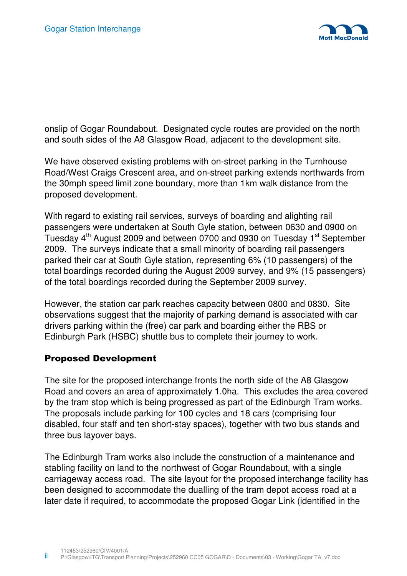

onslip of Gogar Roundabout. Designated cycle routes are provided on the north and south sides of the A8 Glasgow Road, adjacent to the development site.

We have observed existing problems with on-street parking in the Turnhouse Road/West Craigs Crescent area, and on-street parking extends northwards from the 30mph speed limit zone boundary, more than 1km walk distance from the proposed development.

With regard to existing rail services, surveys of boarding and alighting rail passengers were undertaken at South Gyle station, between 0630 and 0900 on Tuesday  $4<sup>th</sup>$  August 2009 and between 0700 and 0930 on Tuesday 1<sup>st</sup> September 2009. The surveys indicate that a small minority of boarding rail passengers parked their car at South Gyle station, representing 6% (10 passengers) of the total boardings recorded during the August 2009 survey, and 9% (15 passengers) of the total boardings recorded during the September 2009 survey.

However, the station car park reaches capacity between 0800 and 0830. Site observations suggest that the majority of parking demand is associated with car drivers parking within the (free) car park and boarding either the RBS or Edinburgh Park (HSBC) shuttle bus to complete their journey to work.

### Proposed Development

The site for the proposed interchange fronts the north side of the A8 Glasgow Road and covers an area of approximately 1.0ha. This excludes the area covered by the tram stop which is being progressed as part of the Edinburgh Tram works. The proposals include parking for 100 cycles and 18 cars (comprising four disabled, four staff and ten short-stay spaces), together with two bus stands and three bus layover bays.

The Edinburgh Tram works also include the construction of a maintenance and stabling facility on land to the northwest of Gogar Roundabout, with a single carriageway access road. The site layout for the proposed interchange facility has been designed to accommodate the dualling of the tram depot access road at a later date if required, to accommodate the proposed Gogar Link (identified in the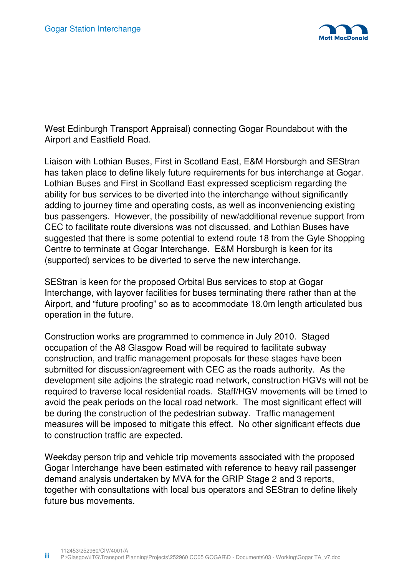

West Edinburgh Transport Appraisal) connecting Gogar Roundabout with the Airport and Eastfield Road.

Liaison with Lothian Buses, First in Scotland East, E&M Horsburgh and SEStran has taken place to define likely future requirements for bus interchange at Gogar. Lothian Buses and First in Scotland East expressed scepticism regarding the ability for bus services to be diverted into the interchange without significantly adding to journey time and operating costs, as well as inconveniencing existing bus passengers. However, the possibility of new/additional revenue support from CEC to facilitate route diversions was not discussed, and Lothian Buses have suggested that there is some potential to extend route 18 from the Gyle Shopping Centre to terminate at Gogar Interchange. E&M Horsburgh is keen for its (supported) services to be diverted to serve the new interchange.

SEStran is keen for the proposed Orbital Bus services to stop at Gogar Interchange, with layover facilities for buses terminating there rather than at the Airport, and "future proofing" so as to accommodate 18.0m length articulated bus operation in the future.

Construction works are programmed to commence in July 2010. Staged occupation of the A8 Glasgow Road will be required to facilitate subway construction, and traffic management proposals for these stages have been submitted for discussion/agreement with CEC as the roads authority. As the development site adjoins the strategic road network, construction HGVs will not be required to traverse local residential roads. Staff/HGV movements will be timed to avoid the peak periods on the local road network. The most significant effect will be during the construction of the pedestrian subway. Traffic management measures will be imposed to mitigate this effect. No other significant effects due to construction traffic are expected.

Weekday person trip and vehicle trip movements associated with the proposed Gogar Interchange have been estimated with reference to heavy rail passenger demand analysis undertaken by MVA for the GRIP Stage 2 and 3 reports, together with consultations with local bus operators and SEStran to define likely future bus movements.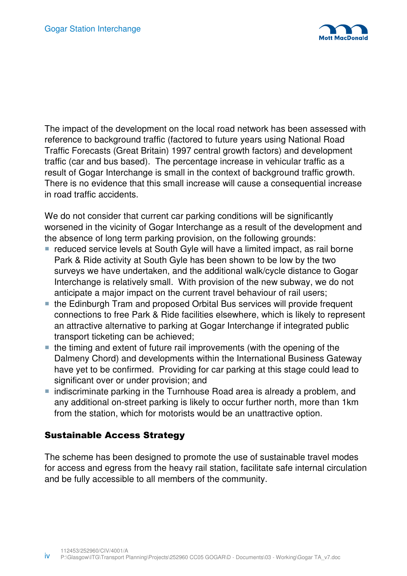

The impact of the development on the local road network has been assessed with reference to background traffic (factored to future years using National Road Traffic Forecasts (Great Britain) 1997 central growth factors) and development traffic (car and bus based). The percentage increase in vehicular traffic as a result of Gogar Interchange is small in the context of background traffic growth. There is no evidence that this small increase will cause a consequential increase in road traffic accidents.

We do not consider that current car parking conditions will be significantly worsened in the vicinity of Gogar Interchange as a result of the development and the absence of long term parking provision, on the following grounds:

- reduced service levels at South Gyle will have a limited impact, as rail borne Park & Ride activity at South Gyle has been shown to be low by the two surveys we have undertaken, and the additional walk/cycle distance to Gogar Interchange is relatively small. With provision of the new subway, we do not anticipate a major impact on the current travel behaviour of rail users;
- the Edinburgh Tram and proposed Orbital Bus services will provide frequent connections to free Park & Ride facilities elsewhere, which is likely to represent an attractive alternative to parking at Gogar Interchange if integrated public transport ticketing can be achieved;
- $\blacksquare$  the timing and extent of future rail improvements (with the opening of the Dalmeny Chord) and developments within the International Business Gateway have yet to be confirmed. Providing for car parking at this stage could lead to significant over or under provision; and
- indiscriminate parking in the Turnhouse Road area is already a problem, and any additional on-street parking is likely to occur further north, more than 1km from the station, which for motorists would be an unattractive option.

### Sustainable Access Strategy

The scheme has been designed to promote the use of sustainable travel modes for access and egress from the heavy rail station, facilitate safe internal circulation and be fully accessible to all members of the community.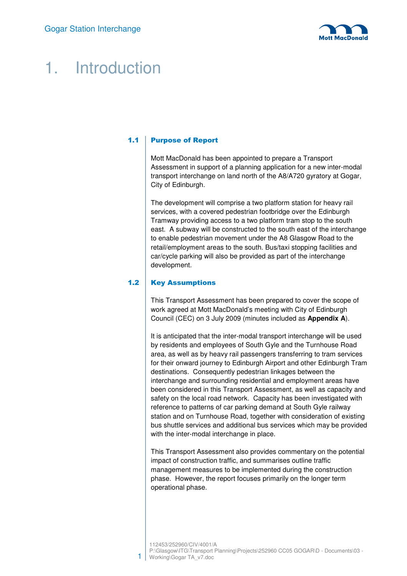

# 1. Introduction

#### 1.1 Purpose of Report

Mott MacDonald has been appointed to prepare a Transport Assessment in support of a planning application for a new inter-modal transport interchange on land north of the A8/A720 gyratory at Gogar, City of Edinburgh.

The development will comprise a two platform station for heavy rail services, with a covered pedestrian footbridge over the Edinburgh Tramway providing access to a two platform tram stop to the south east. A subway will be constructed to the south east of the interchange to enable pedestrian movement under the A8 Glasgow Road to the retail/employment areas to the south. Bus/taxi stopping facilities and car/cycle parking will also be provided as part of the interchange development.

#### 1.2 | Key Assumptions

This Transport Assessment has been prepared to cover the scope of work agreed at Mott MacDonald's meeting with City of Edinburgh Council (CEC) on 3 July 2009 (minutes included as **Appendix A**).

It is anticipated that the inter-modal transport interchange will be used by residents and employees of South Gyle and the Turnhouse Road area, as well as by heavy rail passengers transferring to tram services for their onward journey to Edinburgh Airport and other Edinburgh Tram destinations. Consequently pedestrian linkages between the interchange and surrounding residential and employment areas have been considered in this Transport Assessment, as well as capacity and safety on the local road network. Capacity has been investigated with reference to patterns of car parking demand at South Gyle railway station and on Turnhouse Road, together with consideration of existing bus shuttle services and additional bus services which may be provided with the inter-modal interchange in place.

This Transport Assessment also provides commentary on the potential impact of construction traffic, and summarises outline traffic management measures to be implemented during the construction phase. However, the report focuses primarily on the longer term operational phase.

<sup>112453/252960/</sup>CIV/4001/A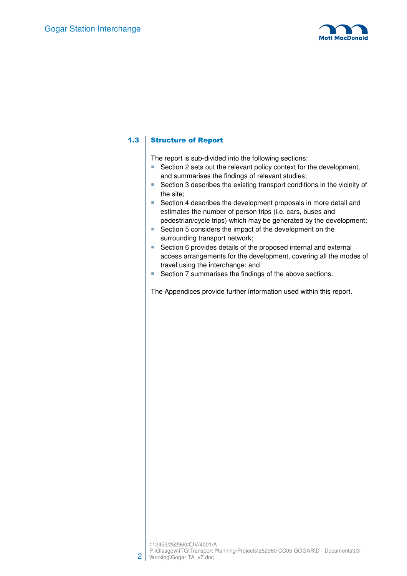

#### 1.3 Structure of Report

The report is sub-divided into the following sections:

- **Section 2 sets out the relevant policy context for the development,** and summarises the findings of relevant studies;
- Section 3 describes the existing transport conditions in the vicinity of the site;
- Section 4 describes the development proposals in more detail and estimates the number of person trips (i.e. cars, buses and pedestrian/cycle trips) which may be generated by the development;
- Section 5 considers the impact of the development on the surrounding transport network;
- Section 6 provides details of the proposed internal and external access arrangements for the development, covering all the modes of travel using the interchange; and
- Section 7 summarises the findings of the above sections.

The Appendices provide further information used within this report.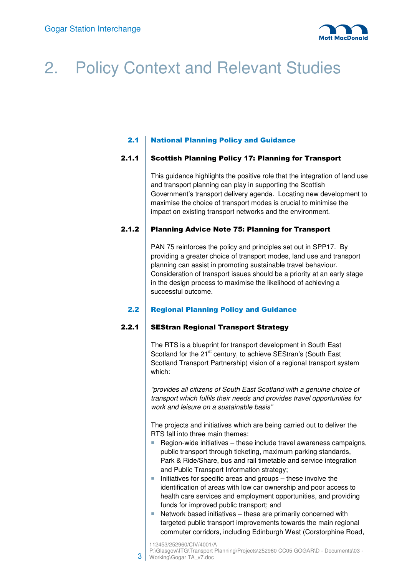

# 2. Policy Context and Relevant Studies

### 2.1 National Planning Policy and Guidance

#### 2.1.1 Scottish Planning Policy 17: Planning for Transport

This guidance highlights the positive role that the integration of land use and transport planning can play in supporting the Scottish Government's transport delivery agenda. Locating new development to maximise the choice of transport modes is crucial to minimise the impact on existing transport networks and the environment.

#### 2.1.2 Planning Advice Note 75: Planning for Transport

PAN 75 reinforces the policy and principles set out in SPP17. By providing a greater choice of transport modes, land use and transport planning can assist in promoting sustainable travel behaviour. Consideration of transport issues should be a priority at an early stage in the design process to maximise the likelihood of achieving a successful outcome.

#### 2.2 **Regional Planning Policy and Guidance**

#### 2.2.1 SEStran Regional Transport Strategy

The RTS is a blueprint for transport development in South East Scotland for the 21<sup>st</sup> century, to achieve SEStran's (South East Scotland Transport Partnership) vision of a regional transport system which:

"provides all citizens of South East Scotland with a genuine choice of transport which fulfils their needs and provides travel opportunities for work and leisure on a sustainable basis"

The projects and initiatives which are being carried out to deliver the RTS fall into three main themes:

- Region-wide initiatives  $-$  these include travel awareness campaigns, public transport through ticketing, maximum parking standards, Park & Ride/Share, bus and rail timetable and service integration and Public Transport Information strategy;
- $\blacksquare$  Initiatives for specific areas and groups these involve the identification of areas with low car ownership and poor access to health care services and employment opportunities, and providing funds for improved public transport; and
- Network based initiatives these are primarily concerned with targeted public transport improvements towards the main regional commuter corridors, including Edinburgh West (Corstorphine Road,

<sup>112453/252960/</sup>CIV/4001/A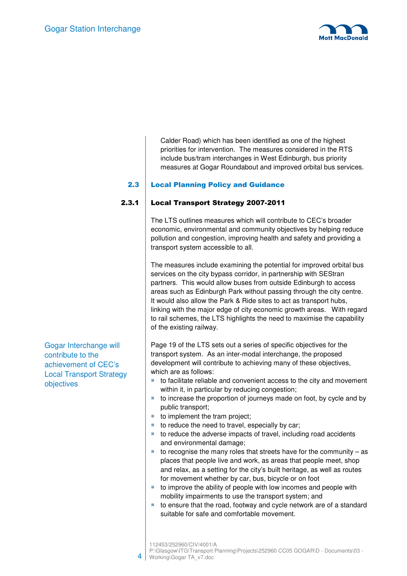

Calder Road) which has been identified as one of the highest priorities for intervention. The measures considered in the RTS include bus/tram interchanges in West Edinburgh, bus priority measures at Gogar Roundabout and improved orbital bus services.

#### 2.3 Local Planning Policy and Guidance

#### 2.3.1 Local Transport Strategy 2007-2011

The LTS outlines measures which will contribute to CEC's broader economic, environmental and community objectives by helping reduce pollution and congestion, improving health and safety and providing a transport system accessible to all.

The measures include examining the potential for improved orbital bus services on the city bypass corridor, in partnership with SEStran partners. This would allow buses from outside Edinburgh to access areas such as Edinburgh Park without passing through the city centre. It would also allow the Park & Ride sites to act as transport hubs, linking with the major edge of city economic growth areas. With regard to rail schemes, the LTS highlights the need to maximise the capability of the existing railway.

Page 19 of the LTS sets out a series of specific objectives for the transport system. As an inter-modal interchange, the proposed development will contribute to achieving many of these objectives, which are as follows:

- to facilitate reliable and convenient access to the city and movement within it, in particular by reducing congestion;
- $\blacksquare$  to increase the proportion of journeys made on foot, by cycle and by public transport;
- to implement the tram project;
- $\blacksquare$  to reduce the need to travel, especially by car;
- to reduce the adverse impacts of travel, including road accidents and environmental damage;
- to recognise the many roles that streets have for the community  $-$  as places that people live and work, as areas that people meet, shop and relax, as a setting for the city's built heritage, as well as routes for movement whether by car, bus, bicycle or on foot
- $\blacksquare$  to improve the ability of people with low incomes and people with mobility impairments to use the transport system; and
- $\blacksquare$  to ensure that the road, footway and cycle network are of a standard suitable for safe and comfortable movement.

Gogar Interchange will contribute to the achievement of CEC's Local Transport Strategy objectives

<sup>112453/252960/</sup>CIV/4001/A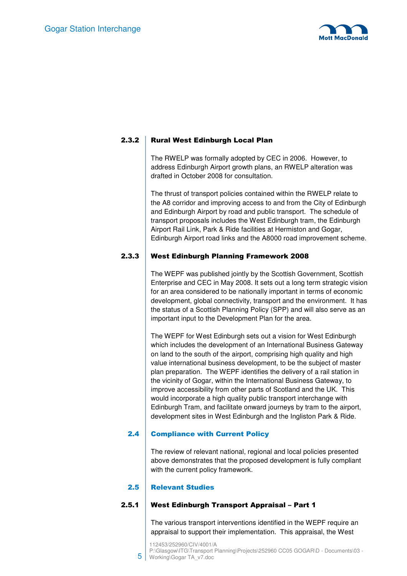

#### 2.3.2 Rural West Edinburgh Local Plan

The RWELP was formally adopted by CEC in 2006. However, to address Edinburgh Airport growth plans, an RWELP alteration was drafted in October 2008 for consultation.

The thrust of transport policies contained within the RWELP relate to the A8 corridor and improving access to and from the City of Edinburgh and Edinburgh Airport by road and public transport. The schedule of transport proposals includes the West Edinburgh tram, the Edinburgh Airport Rail Link, Park & Ride facilities at Hermiston and Gogar, Edinburgh Airport road links and the A8000 road improvement scheme.

#### 2.3.3 West Edinburgh Planning Framework 2008

The WEPF was published jointly by the Scottish Government, Scottish Enterprise and CEC in May 2008. It sets out a long term strategic vision for an area considered to be nationally important in terms of economic development, global connectivity, transport and the environment. It has the status of a Scottish Planning Policy (SPP) and will also serve as an important input to the Development Plan for the area.

The WEPF for West Edinburgh sets out a vision for West Edinburgh which includes the development of an International Business Gateway on land to the south of the airport, comprising high quality and high value international business development, to be the subject of master plan preparation. The WEPF identifies the delivery of a rail station in the vicinity of Gogar, within the International Business Gateway, to improve accessibility from other parts of Scotland and the UK. This would incorporate a high quality public transport interchange with Edinburgh Tram, and facilitate onward journeys by tram to the airport, development sites in West Edinburgh and the Ingliston Park & Ride.

#### 2.4 Compliance with Current Policy

The review of relevant national, regional and local policies presented above demonstrates that the proposed development is fully compliant with the current policy framework.

#### 2.5 **Relevant Studies**

#### 2.5.1 West Edinburgh Transport Appraisal - Part 1

The various transport interventions identified in the WEPF require an appraisal to support their implementation. This appraisal, the West

112453/252960/CIV/4001/A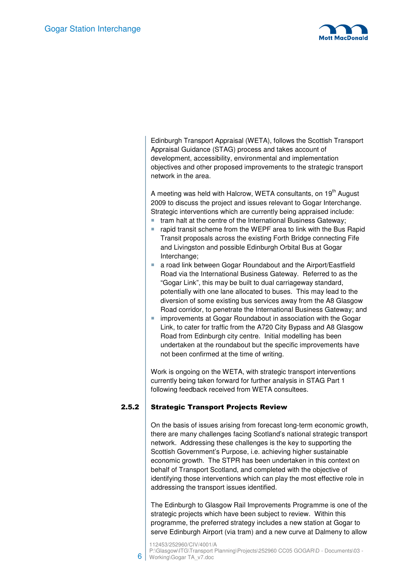

Edinburgh Transport Appraisal (WETA), follows the Scottish Transport Appraisal Guidance (STAG) process and takes account of development, accessibility, environmental and implementation objectives and other proposed improvements to the strategic transport network in the area.

A meeting was held with Halcrow, WETA consultants, on  $19<sup>th</sup>$  August 2009 to discuss the project and issues relevant to Gogar Interchange. Strategic interventions which are currently being appraised include:

- $\blacksquare$  tram halt at the centre of the International Business Gateway;
- rapid transit scheme from the WEPF area to link with the Bus Rapid Transit proposals across the existing Forth Bridge connecting Fife and Livingston and possible Edinburgh Orbital Bus at Gogar Interchange;
- a road link between Gogar Roundabout and the Airport/Eastfield Road via the International Business Gateway. Referred to as the "Gogar Link", this may be built to dual carriageway standard, potentially with one lane allocated to buses. This may lead to the diversion of some existing bus services away from the A8 Glasgow Road corridor, to penetrate the International Business Gateway; and
- **F** improvements at Gogar Roundabout in association with the Gogar Link, to cater for traffic from the A720 City Bypass and A8 Glasgow Road from Edinburgh city centre. Initial modelling has been undertaken at the roundabout but the specific improvements have not been confirmed at the time of writing.

Work is ongoing on the WETA, with strategic transport interventions currently being taken forward for further analysis in STAG Part 1 following feedback received from WETA consultees.

#### 2.5.2 Strategic Transport Projects Review

On the basis of issues arising from forecast long-term economic growth, there are many challenges facing Scotland's national strategic transport network. Addressing these challenges is the key to supporting the Scottish Government's Purpose, i.e. achieving higher sustainable economic growth. The STPR has been undertaken in this context on behalf of Transport Scotland, and completed with the objective of identifying those interventions which can play the most effective role in addressing the transport issues identified.

The Edinburgh to Glasgow Rail Improvements Programme is one of the strategic projects which have been subject to review. Within this programme, the preferred strategy includes a new station at Gogar to serve Edinburgh Airport (via tram) and a new curve at Dalmeny to allow

112453/252960/CIV/4001/A

6

P:\Glasgow\ITG\Transport Planning\Projects\252960 CC05 GOGAR\D - Documents\03 -Working\Gogar TA\_v7.doc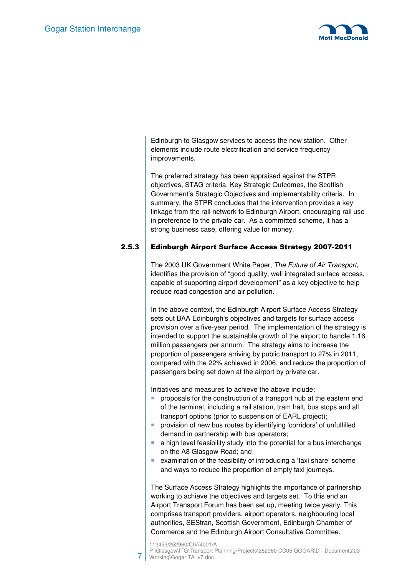

Edinburgh to Glasgow services to access the new station. Other elements include route electrification and service frequency improvements.

The preferred strategy has been appraised against the STPR objectives, STAG criteria, Key Strategic Outcomes, the Scottish Government's Strategic Objectives and implementability criteria. In summary, the STPR concludes that the intervention provides a key linkage from the rail network to Edinburgh Airport, encouraging rail use in preference to the private car. As a committed scheme, it has a strong business case, offering value for money.

#### 2.5.3 Edinburgh Airport Surface Access Strategy 2007-2011

The 2003 UK Government White Paper, The Future of Air Transport, identifies the provision of "good quality, well integrated surface access, capable of supporting airport development" as a key objective to help reduce road congestion and air pollution.

In the above context, the Edinburgh Airport Surface Access Strategy sets out BAA Edinburgh's objectives and targets for surface access provision over a five-year period. The implementation of the strategy is intended to support the sustainable growth of the airport to handle 1.16 million passengers per annum. The strategy aims to increase the proportion of passengers arriving by public transport to 27% in 2011, compared with the 22% achieved in 2006, and reduce the proportion of passengers being set down at the airport by private car.

Initiatives and measures to achieve the above include:

- **Peroposals for the construction of a transport hub at the eastern end** of the terminal, including a rail station, tram halt, bus stops and all transport options (prior to suspension of EARL project);
- **P** provision of new bus routes by identifying 'corridors' of unfulfilled demand in partnership with bus operators;
- $\blacksquare$  a high level feasibility study into the potential for a bus interchange on the A8 Glasgow Road; and
- examination of the feasibility of introducing a 'taxi share' scheme and ways to reduce the proportion of empty taxi journeys.

The Surface Access Strategy highlights the importance of partnership working to achieve the objectives and targets set. To this end an Airport Transport Forum has been set up, meeting twice yearly. This comprises transport providers, airport operators, neighbouring local authorities, SEStran, Scottish Government, Edinburgh Chamber of Commerce and the Edinburgh Airport Consultative Committee.

112453/252960/CIV/4001/A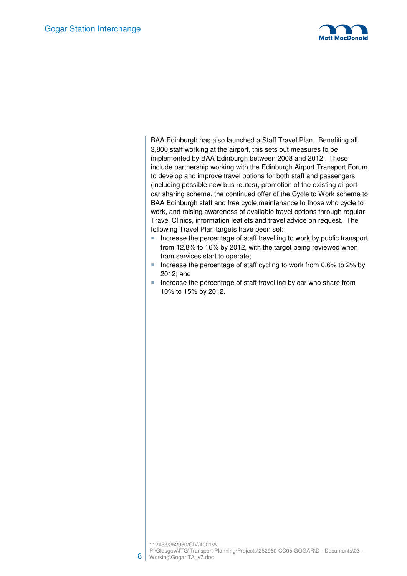

BAA Edinburgh has also launched a Staff Travel Plan. Benefiting all 3,800 staff working at the airport, this sets out measures to be implemented by BAA Edinburgh between 2008 and 2012. These include partnership working with the Edinburgh Airport Transport Forum to develop and improve travel options for both staff and passengers (including possible new bus routes), promotion of the existing airport car sharing scheme, the continued offer of the Cycle to Work scheme to BAA Edinburgh staff and free cycle maintenance to those who cycle to work, and raising awareness of available travel options through regular Travel Clinics, information leaflets and travel advice on request. The following Travel Plan targets have been set:

- Increase the percentage of staff travelling to work by public transport from 12.8% to 16% by 2012, with the target being reviewed when tram services start to operate;
- Increase the percentage of staff cycling to work from 0.6% to 2% by 2012; and
- Increase the percentage of staff travelling by car who share from 10% to 15% by 2012.

Working\Gogar TA\_v7.doc

8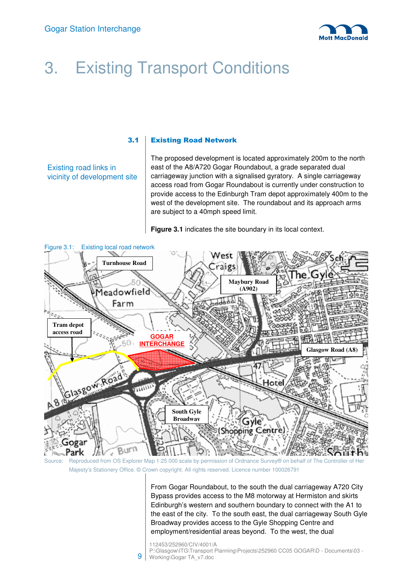

# 3. Existing Transport Conditions

#### 3.1 Existing Road Network

Existing road links in vicinity of development site The proposed development is located approximately 200m to the north east of the A8/A720 Gogar Roundabout, a grade separated dual carriageway junction with a signalised gyratory. A single carriageway access road from Gogar Roundabout is currently under construction to provide access to the Edinburgh Tram depot approximately 400m to the west of the development site. The roundabout and its approach arms are subject to a 40mph speed limit.

**Figure 3.1** indicates the site boundary in its local context.



Source: Reproduced from OS Explorer Map 1:25 000 scale by permission of Ordnance Survey® on behalf of The Controller of Her Majesty's Stationery Office. © Crown copyright. All rights reserved. Licence number 100026791

From Gogar Roundabout, to the south the dual carriageway A720 City Bypass provides access to the M8 motorway at Hermiston and skirts Edinburgh's western and southern boundary to connect with the A1 to the east of the city. To the south east, the dual carriageway South Gyle Broadway provides access to the Gyle Shopping Centre and employment/residential areas beyond. To the west, the dual

112453/252960/CIV/4001/A

9 P:\Glasgow\ITG\Transport Planning\Projects\252960 CC05 GOGAR\D - Documents\03 -Working\Gogar TA\_v7.doc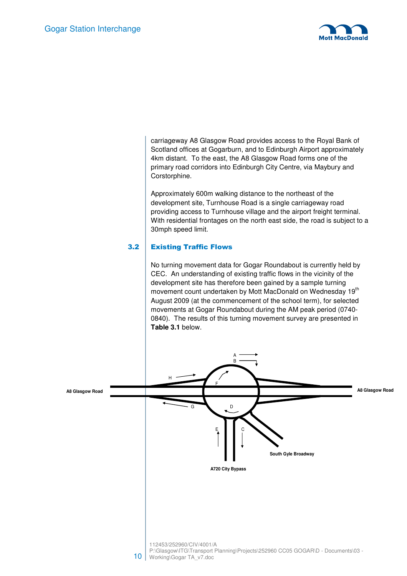

carriageway A8 Glasgow Road provides access to the Royal Bank of Scotland offices at Gogarburn, and to Edinburgh Airport approximately 4km distant. To the east, the A8 Glasgow Road forms one of the primary road corridors into Edinburgh City Centre, via Maybury and Corstorphine.

Approximately 600m walking distance to the northeast of the development site, Turnhouse Road is a single carriageway road providing access to Turnhouse village and the airport freight terminal. With residential frontages on the north east side, the road is subject to a 30mph speed limit.

#### 3.2 Existing Traffic Flows

No turning movement data for Gogar Roundabout is currently held by CEC. An understanding of existing traffic flows in the vicinity of the development site has therefore been gained by a sample turning movement count undertaken by Mott MacDonald on Wednesday 19<sup>th</sup> August 2009 (at the commencement of the school term), for selected movements at Gogar Roundabout during the AM peak period (0740- 0840). The results of this turning movement survey are presented in **Table 3.1** below.

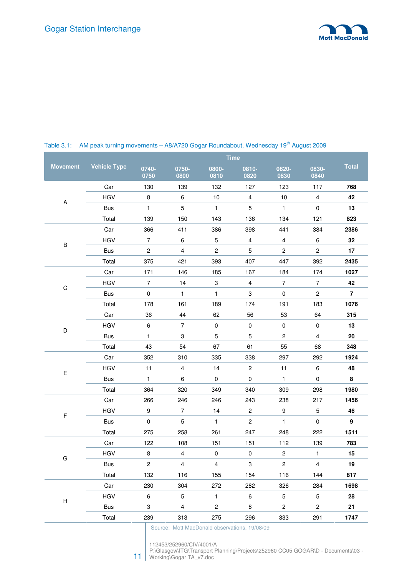

|                 |                     |                |                         |                | <b>Time</b>    |                       |                |                |
|-----------------|---------------------|----------------|-------------------------|----------------|----------------|-----------------------|----------------|----------------|
| <b>Movement</b> | <b>Vehicle Type</b> | 0740-<br>0750  | 0750-<br>0800           | 0800-<br>0810  | 0810-<br>0820  | 0820-<br>0830         | 0830-<br>0840  | <b>Total</b>   |
|                 | Car                 | 130            | 139                     | 132            | 127            | 123                   | 117            | 768            |
|                 | <b>HGV</b>          | 8              | 6                       | $10$           | $\overline{4}$ | 10                    | $\overline{4}$ | 42             |
| A               | <b>Bus</b>          | $\mathbf{1}$   | 5                       | $\mathbf{1}$   | 5              | $\mathbf{1}$          | 0              | 13             |
|                 | Total               | 139            | 150                     | 143            | 136            | 134                   | 121            | 823            |
|                 | Car                 | 366            | 411                     | 386            | 398            | 441                   | 384            | 2386           |
|                 | <b>HGV</b>          | $\overline{7}$ | $\,6\,$                 | 5              | $\overline{4}$ | $\overline{4}$        | 6              | 32             |
| $\sf B$         | <b>Bus</b>          | $\overline{c}$ | $\overline{4}$          | $\overline{c}$ | 5              | $\overline{c}$        | $\overline{2}$ | 17             |
|                 | Total               | 375            | 421                     | 393            | 407            | 447                   | 392            | 2435           |
|                 | Car                 | 171            | 146                     | 185            | 167            | 184                   | 174            | 1027           |
|                 | <b>HGV</b>          | $\overline{7}$ | 14                      | 3              | $\overline{4}$ | $\overline{7}$        | $\overline{7}$ | 42             |
| $\mathsf C$     | Bus                 | $\pmb{0}$      | $\mathbf{1}$            | $\mathbf{1}$   | 3              | $\mathbf 0$           | $\overline{c}$ | $\overline{7}$ |
|                 | Total               | 178            | 161                     | 189            | 174            | 191                   | 183            | 1076           |
|                 | Car                 | 36             | 44                      | 62             | 56             | 53                    | 64             | 315            |
|                 | <b>HGV</b>          | 6              | $\overline{7}$          | $\pmb{0}$      | $\mathbf 0$    | $\mathbf 0$           | $\pmb{0}$      | 13             |
| D               | <b>Bus</b>          | $\mathbf{1}$   | 3                       | 5              | 5              | $\mathbf{2}^{\prime}$ | 4              | 20             |
|                 | Total               | 43             | 54                      | 67             | 61             | 55                    | 68             | 348            |
|                 | Car                 | 352            | 310                     | 335            | 338            | 297                   | 292            | 1924           |
| E               | <b>HGV</b>          | 11             | $\overline{4}$          | 14             | $\overline{2}$ | 11                    | 6              | 48             |
|                 | <b>Bus</b>          | $\mathbf{1}$   | 6                       | $\mathbf 0$    | $\pmb{0}$      | $\mathbf{1}$          | $\pmb{0}$      | 8              |
|                 | Total               | 364            | 320                     | 349            | 340            | 309                   | 298            | 1980           |
|                 | Car                 | 266            | 246                     | 246            | 243            | 238                   | 217            | 1456           |
|                 | <b>HGV</b>          | 9              | $\overline{7}$          | 14             | $\overline{c}$ | 9                     | 5              | 46             |
| F               | <b>Bus</b>          | $\pmb{0}$      | 5                       | $\mathbf{1}$   | $\overline{c}$ | $\mathbf{1}$          | $\mathbf 0$    | 9              |
|                 | Total               | 275            | 258                     | 261            | 247            | 248                   | 222            | 1511           |
|                 | Car                 | 122            | 108                     | 151            | 151            | 112                   | 139            | 783            |
|                 | <b>HGV</b>          | $\bf 8$        | $\overline{\mathbf{4}}$ | $\pmb{0}$      | $\mathsf 0$    | $\overline{c}$        | $\mathbf{1}$   | 15             |
| G               | Bus                 | $\overline{2}$ | $\overline{4}$          | $\overline{4}$ | $\mathbf 3$    | $\overline{c}$        | $\overline{4}$ | 19             |
|                 | Total               | 132            | 116                     | 155            | 154            | 116                   | 144            | 817            |
|                 | Car                 | 230            | 304                     | 272            | 282            | 326                   | 284            | 1698           |
|                 | <b>HGV</b>          | 6              | 5                       | $\mathbf{1}$   | 6              | 5                     | 5              | 28             |
| Н               | <b>Bus</b>          | 3              | $\overline{4}$          | $\overline{c}$ | 8              | $\overline{2}$        | $\mathbf{2}$   | 21             |
|                 | Total               | 239            | 313                     | 275            | 296            | 333                   | 291            | 1747           |

#### Table 3.1: AM peak turning movements - A8/A720 Gogar Roundabout, Wednesday 19<sup>th</sup> August 2009

Source: Mott MacDonald observations, 19/08/09

11 P:\Glasgow\ITG\Transport Planning\Projects\252960 CC05 GOGAR\D - Documents\03 -

<sup>112453/252960/</sup>CIV/4001/A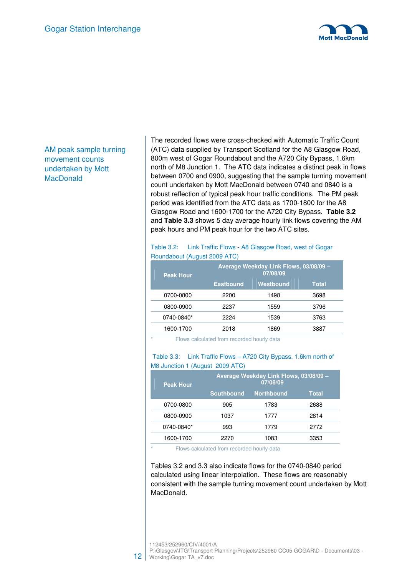

AM peak sample turning movement counts undertaken by Mott **MacDonald** 

The recorded flows were cross-checked with Automatic Traffic Count (ATC) data supplied by Transport Scotland for the A8 Glasgow Road, 800m west of Gogar Roundabout and the A720 City Bypass, 1.6km north of M8 Junction 1. The ATC data indicates a distinct peak in flows between 0700 and 0900, suggesting that the sample turning movement count undertaken by Mott MacDonald between 0740 and 0840 is a robust reflection of typical peak hour traffic conditions. The PM peak period was identified from the ATC data as 1700-1800 for the A8 Glasgow Road and 1600-1700 for the A720 City Bypass. **Table 3.2**  and **Table 3.3** shows 5 day average hourly link flows covering the AM peak hours and PM peak hour for the two ATC sites.

#### Table 3.2: Link Traffic Flows - A8 Glasgow Road, west of Gogar Roundabout (August 2009 ATC)

| <b>Peak Hour</b> |                  | Average Weekday Link Flows, 03/08/09 -<br>07/08/09 |              |
|------------------|------------------|----------------------------------------------------|--------------|
|                  | <b>Eastbound</b> | <b>Westbound</b>                                   | <b>Total</b> |
| 0700-0800        | 2200             | 1498                                               | 3698         |
| 0800-0900        | 2237             | 1559                                               | 3796         |
| 0740-0840*       | 2224             | 1539                                               | 3763         |
| 1600-1700        | 2018             | 1869                                               | 3887         |

Flows calculated from recorded hourly data

#### Table 3.3: Link Traffic Flows – A720 City Bypass, 1.6km north of M8 Junction 1 (August 2009 ATC)

| <b>Peak Hour</b> | Average Weekday Link Flows, 03/08/09 -<br>07/08/09 |                   |       |  |  |  |  |  |
|------------------|----------------------------------------------------|-------------------|-------|--|--|--|--|--|
|                  | <b>Southbound</b>                                  | <b>Northbound</b> | Total |  |  |  |  |  |
| 0700-0800        | 905                                                | 1783              | 2688  |  |  |  |  |  |
| 0800-0900        | 1037                                               | 1777              | 2814  |  |  |  |  |  |
| 0740-0840*       | 993                                                | 1779              | 2772  |  |  |  |  |  |
| 1600-1700        | 2270                                               | 1083              | 3353  |  |  |  |  |  |

Flows calculated from recorded hourly data

Tables 3.2 and 3.3 also indicate flows for the 0740-0840 period calculated using linear interpolation. These flows are reasonably consistent with the sample turning movement count undertaken by Mott MacDonald.

112453/252960/CIV/4001/A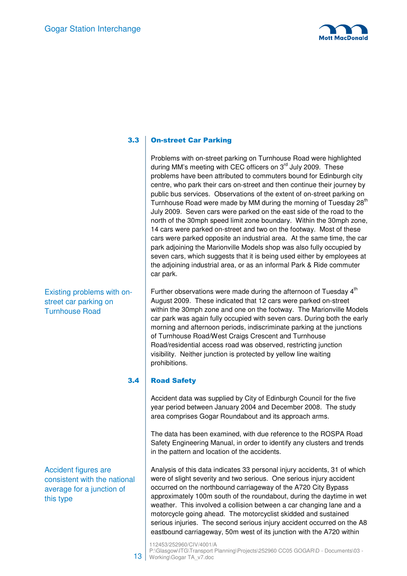

### 3.3 On-street Car Parking

Problems with on-street parking on Turnhouse Road were highlighted during MM's meeting with CEC officers on 3<sup>rd</sup> July 2009. These problems have been attributed to commuters bound for Edinburgh city centre, who park their cars on-street and then continue their journey by public bus services. Observations of the extent of on-street parking on Turnhouse Road were made by MM during the morning of Tuesday 28<sup>th</sup> July 2009. Seven cars were parked on the east side of the road to the north of the 30mph speed limit zone boundary. Within the 30mph zone, 14 cars were parked on-street and two on the footway. Most of these cars were parked opposite an industrial area. At the same time, the car park adjoining the Marionville Models shop was also fully occupied by seven cars, which suggests that it is being used either by employees at the adjoining industrial area, or as an informal Park & Ride commuter car park.

Further observations were made during the afternoon of Tuesday  $4<sup>th</sup>$ August 2009. These indicated that 12 cars were parked on-street within the 30mph zone and one on the footway. The Marionville Models car park was again fully occupied with seven cars. During both the early morning and afternoon periods, indiscriminate parking at the junctions of Turnhouse Road/West Craigs Crescent and Turnhouse Road/residential access road was observed, restricting junction visibility. Neither junction is protected by yellow line waiting prohibitions.

#### 3.4 Road Safety

Accident data was supplied by City of Edinburgh Council for the five year period between January 2004 and December 2008. The study area comprises Gogar Roundabout and its approach arms.

The data has been examined, with due reference to the ROSPA Road Safety Engineering Manual, in order to identify any clusters and trends in the pattern and location of the accidents.

Analysis of this data indicates 33 personal injury accidents, 31 of which were of slight severity and two serious. One serious injury accident occurred on the northbound carriageway of the A720 City Bypass approximately 100m south of the roundabout, during the daytime in wet weather. This involved a collision between a car changing lane and a motorcycle going ahead. The motorcyclist skidded and sustained serious injuries. The second serious injury accident occurred on the A8 eastbound carriageway, 50m west of its junction with the A720 within

Existing problems with onstreet car parking on Turnhouse Road

Accident figures are consistent with the national average for a junction of this type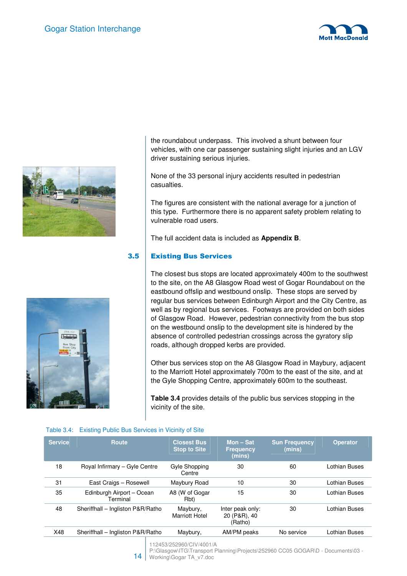





the roundabout underpass. This involved a shunt between four vehicles, with one car passenger sustaining slight injuries and an LGV driver sustaining serious injuries.

None of the 33 personal injury accidents resulted in pedestrian casualties.

The figures are consistent with the national average for a junction of this type. Furthermore there is no apparent safety problem relating to vulnerable road users.

The full accident data is included as **Appendix B**.

### 3.5 Existing Bus Services

The closest bus stops are located approximately 400m to the southwest to the site, on the A8 Glasgow Road west of Gogar Roundabout on the eastbound offslip and westbound onslip. These stops are served by regular bus services between Edinburgh Airport and the City Centre, as well as by regional bus services. Footways are provided on both sides of Glasgow Road. However, pedestrian connectivity from the bus stop on the westbound onslip to the development site is hindered by the absence of controlled pedestrian crossings across the gyratory slip roads, although dropped kerbs are provided.

Other bus services stop on the A8 Glasgow Road in Maybury, adjacent to the Marriott Hotel approximately 700m to the east of the site, and at the Gyle Shopping Centre, approximately 600m to the southeast.

**Table 3.4** provides details of the public bus services stopping in the vicinity of the site.

|  |  |  |  |  | Table 3.4: Existing Public Bus Services in Vicinity of Site |
|--|--|--|--|--|-------------------------------------------------------------|
|--|--|--|--|--|-------------------------------------------------------------|

| <b>Service</b> | Route                                 | <b>Closest Bus</b><br><b>Stop to Site</b> | Mon $-$ Sat<br><b>Frequency</b><br>(mins)   | <b>Sun Frequency</b><br>(mins) | <b>Operator</b> |
|----------------|---------------------------------------|-------------------------------------------|---------------------------------------------|--------------------------------|-----------------|
| 18             | Royal Infirmary - Gyle Centre         | Gyle Shopping<br>Centre                   | 30                                          | 60                             | Lothian Buses   |
| 31             | East Craigs - Rosewell                | Maybury Road                              | 10                                          | 30                             | Lothian Buses   |
| 35             | Edinburgh Airport - Ocean<br>Terminal | A8 (W of Gogar<br>Rbt)                    | 15                                          | 30                             | Lothian Buses   |
| 48             | Sheriffhall - Ingliston P&R/Ratho     | Maybury,<br><b>Marriott Hotel</b>         | Inter peak only:<br>20 (P&R), 40<br>(Ratho) | 30                             | Lothian Buses   |
| X48            | Sheriffhall - Ingliston P&R/Ratho     | Maybury,                                  | AM/PM peaks                                 | No service                     | Lothian Buses   |

112453/252960/CIV/4001/A

 $14$ P:\Glasgow\ITG\Transport Planning\Projects\252960 CC05 GOGAR\D - Documents\03 -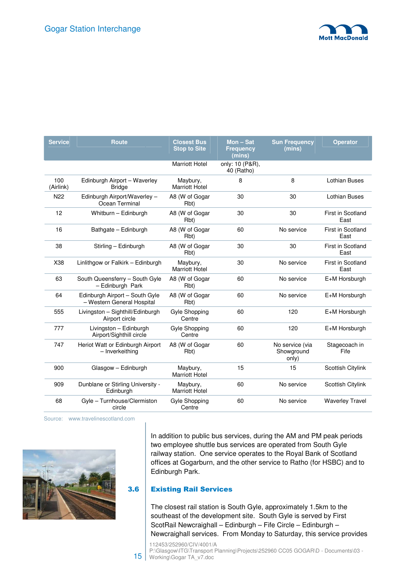

| <b>Service</b>   | <b>Route</b>                                                 | <b>Closest Bus</b><br><b>Stop to Site</b> | $Mon - Sat$<br><b>Frequency</b><br>(mins) | <b>Sun Frequency</b><br>(mins)         | <b>Operator</b>                  |
|------------------|--------------------------------------------------------------|-------------------------------------------|-------------------------------------------|----------------------------------------|----------------------------------|
|                  |                                                              | <b>Marriott Hotel</b>                     | only: 10 (P&R),<br>40 (Ratho)             |                                        |                                  |
| 100<br>(Airlink) | Edinburgh Airport - Waverley<br><b>Bridge</b>                | Maybury,<br><b>Marriott Hotel</b>         | 8                                         | 8                                      | <b>Lothian Buses</b>             |
| N <sub>22</sub>  | Edinburgh Airport/Waverley -<br>Ocean Terminal               | A8 (W of Gogar<br>Rbt)                    | 30                                        | 30                                     | <b>Lothian Buses</b>             |
| 12               | Whitburn - Edinburgh                                         | A8 (W of Gogar<br>Rbt)                    | 30                                        | 30                                     | First in Scotland<br>East        |
| 16               | Bathgate - Edinburgh                                         | A8 (W of Gogar<br>Rbt)                    | 60                                        | No service                             | <b>First in Scotland</b><br>East |
| 38               | Stirling - Edinburgh                                         | A8 (W of Gogar<br>Rbt)                    | 30                                        | 30                                     | First in Scotland<br>East        |
| X38              | Linlithgow or Falkirk - Edinburgh                            | Maybury,<br><b>Marriott Hotel</b>         | 30                                        | No service                             | First in Scotland<br>East        |
| 63               | South Queensferry - South Gyle<br>- Edinburgh Park           | A8 (W of Gogar<br>Rbt)                    | 60                                        | No service                             | E+M Horsburgh                    |
| 64               | Edinburgh Airport - South Gyle<br>- Western General Hospital | A8 (W of Gogar<br>Rbt)                    | 60                                        | No service                             | E+M Horsburgh                    |
| 555              | Livingston - Sighthill/Edinburgh<br>Airport circle           | Gyle Shopping<br>Centre                   | 60                                        | 120                                    | E+M Horsburgh                    |
| 777              | Livingston - Edinburgh<br>Airport/Sighthill circle           | Gyle Shopping<br>Centre                   | 60                                        | 120                                    | E+M Horsburgh                    |
| 747              | Heriot Watt or Edinburgh Airport<br>- Inverkeithing          | A8 (W of Gogar<br>Rbt)                    | 60                                        | No service (via<br>Showground<br>only) | Stagecoach in<br>Fife            |
| 900              | Glasgow - Edinburgh                                          | Maybury,<br><b>Marriott Hotel</b>         | 15                                        | 15                                     | Scottish Citylink                |
| 909              | Dunblane or Stirling University -<br>Edinburgh               | Maybury,<br><b>Marriott Hotel</b>         | 60                                        | No service                             | Scottish Citylink                |
| 68               | Gyle - Turnhouse/Clermiston<br>circle                        | Gyle Shopping<br>Centre                   | 60                                        | No service                             | <b>Waverley Travel</b>           |

Source: www.travelinescotland.com



In addition to public bus services, during the AM and PM peak periods two employee shuttle bus services are operated from South Gyle railway station. One service operates to the Royal Bank of Scotland offices at Gogarburn, and the other service to Ratho (for HSBC) and to Edinburgh Park.

#### 3.6 Existing Rail Services

The closest rail station is South Gyle, approximately 1.5km to the southeast of the development site. South Gyle is served by First ScotRail Newcraighall – Edinburgh – Fife Circle – Edinburgh – Newcraighall services. From Monday to Saturday, this service provides

112453/252960/CIV/4001/A

15 P:\Glasgow\ITG\Transport Planning\Projects\252960 CC05 GOGAR\D - Documents\03 -Working\Gogar TA\_v7.doc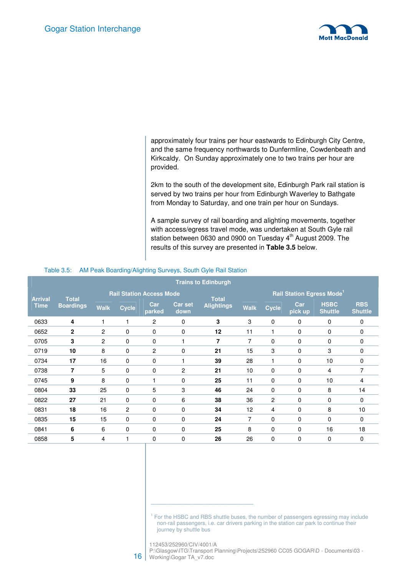

approximately four trains per hour eastwards to Edinburgh City Centre, and the same frequency northwards to Dunfermline, Cowdenbeath and Kirkcaldy. On Sunday approximately one to two trains per hour are provided.

2km to the south of the development site, Edinburgh Park rail station is served by two trains per hour from Edinburgh Waverley to Bathgate from Monday to Saturday, and one train per hour on Sundays.

A sample survey of rail boarding and alighting movements, together with access/egress travel mode, was undertaken at South Gyle rail station between 0630 and 0900 on Tuesday 4<sup>th</sup> August 2009. The results of this survey are presented in **Table 3.5** below.

|                | <b>Trains to Edinburgh</b> |             |                |                                 |                 |                   |             |              |                                              |                               |                              |
|----------------|----------------------------|-------------|----------------|---------------------------------|-----------------|-------------------|-------------|--------------|----------------------------------------------|-------------------------------|------------------------------|
| <b>Arrival</b> | <b>Total</b>               |             |                | <b>Rail Station Access Mode</b> |                 | <b>Total</b>      |             |              | <b>Rail Station Egress Mode</b> <sup>1</sup> |                               |                              |
| <b>Time</b>    | <b>Boardings</b>           | <b>Walk</b> | <b>Cycle</b>   | Car<br>parked                   | Car set<br>down | <b>Alightings</b> | <b>Walk</b> | <b>Cycle</b> | Car<br>pick up                               | <b>HSBC</b><br><b>Shuttle</b> | <b>RBS</b><br><b>Shuttle</b> |
| 0633           | 4                          | 1           |                | 2                               | 0               | 3                 | 3           | 0            | 0                                            | 0                             | $\mathbf 0$                  |
| 0652           | $\mathbf{2}$               | 2           | 0              | $\mathbf 0$                     | $\mathbf 0$     | 12                | 11          | 1            | 0                                            | 0                             | 0                            |
| 0705           | 3                          | 2           | 0              | 0                               | 1               | $\overline{7}$    | 7           | 0            | 0                                            | 0                             | $\mathbf 0$                  |
| 0719           | 10                         | 8           | 0              | 2                               | 0               | 21                | 15          | 3            | 0                                            | 3                             | 0                            |
| 0734           | 17                         | 16          | 0              | $\mathbf 0$                     | 1               | 39                | 28          | 1            | $\mathbf 0$                                  | 10                            | 0                            |
| 0738           | $\overline{7}$             | 5           | 0              | $\mathbf 0$                     | $\overline{2}$  | 21                | 10          | 0            | 0                                            | 4                             | $\overline{7}$               |
| 0745           | 9                          | 8           | 0              |                                 | $\mathbf 0$     | 25                | 11          | $\mathbf 0$  | $\mathbf 0$                                  | 10                            | 4                            |
| 0804           | 33                         | 25          | $\Omega$       | 5                               | 3               | 46                | 24          | 0            | $\Omega$                                     | 8                             | 14                           |
| 0822           | 27                         | 21          | 0              | 0                               | 6               | 38                | 36          | 2            | 0                                            | 0                             | 0                            |
| 0831           | 18                         | 16          | $\overline{2}$ | $\mathbf 0$                     | $\mathbf 0$     | 34                | 12          | 4            | $\mathbf 0$                                  | 8                             | 10                           |
| 0835           | 15                         | 15          | $\mathbf 0$    | $\mathbf 0$                     | $\mathbf 0$     | 24                | 7           | 0            | 0                                            | 0                             | 0                            |
| 0841           | 6                          | 6           | 0              | 0                               | 0               | 25                | 8           | 0            | 0                                            | 16                            | 18                           |
| 0858           | 5                          | 4           |                | 0                               | 0               | 26                | 26          | 0            | 0                                            | 0                             | 0                            |

#### Table 3.5: AM Peak Boarding/Alighting Surveys, South Gyle Rail Station

<sup>1</sup> For the HSBC and RBS shuttle buses, the number of passengers egressing may include non-rail passengers, i.e. car drivers parking in the station car park to continue their journey by shuttle bus

112453/252960/CIV/4001/A

\_\_\_\_\_\_\_\_\_\_\_\_\_\_\_\_\_\_\_\_\_\_\_\_\_

16 P:\Glasgow\ITG\Transport Planning\Projects\252960 CC05 GOGAR\D - Documents\03 -Working\Gogar TA\_v7.doc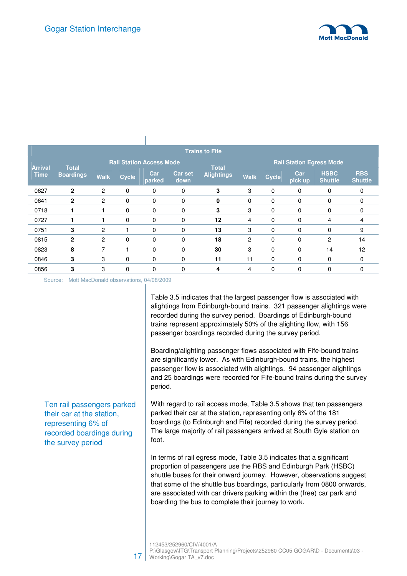

|                |                  |                |              |                                 |                 | <b>Trains to Fife</b> |             |                                 |                |                               |                              |  |
|----------------|------------------|----------------|--------------|---------------------------------|-----------------|-----------------------|-------------|---------------------------------|----------------|-------------------------------|------------------------------|--|
| <b>Arrival</b> | <b>Total</b>     |                |              | <b>Rail Station Access Mode</b> |                 | <b>Total</b>          |             | <b>Rail Station Egress Mode</b> |                |                               |                              |  |
| <b>Time</b>    | <b>Boardings</b> | <b>Walk</b>    | <b>Cycle</b> | Car<br>parked                   | Car set<br>down | <b>Alightings</b>     | <b>Walk</b> | <b>Cycle</b>                    | Car<br>pick up | <b>HSBC</b><br><b>Shuttle</b> | <b>RBS</b><br><b>Shuttle</b> |  |
| 0627           | $\mathbf{2}$     | $\overline{2}$ | $\mathbf 0$  | $\mathbf 0$                     | 0               | 3                     | 3           | 0                               | $\mathbf 0$    | $\mathbf 0$                   | 0                            |  |
| 0641           | $\mathbf{2}$     | $\overline{c}$ | $\mathbf 0$  | $\mathbf 0$                     | 0               | 0                     | 0           | 0                               | $\mathbf 0$    | 0                             | 0                            |  |
| 0718           |                  |                | $\mathbf 0$  | $\mathbf 0$                     | 0               | 3                     | 3           | 0                               | $\mathbf 0$    | 0                             | 0                            |  |
| 0727           |                  |                | 0            | $\mathbf 0$                     | 0               | 12                    | 4           | 0                               | 0              | 4                             | 4                            |  |
| 0751           | 3                | $\overline{c}$ |              | 0                               | 0               | 13                    | 3           | 0                               | $\mathbf 0$    | 0                             | 9                            |  |
| 0815           | $\mathbf{2}$     | 2              | $\mathbf 0$  | $\mathbf 0$                     | 0               | 18                    | 2           | 0                               | 0              | 2                             | 14                           |  |
| 0823           | 8                | 7              |              | $\Omega$                        | $\Omega$        | 30                    | 3           | 0                               | $\mathbf{0}$   | 14                            | 12                           |  |
| 0846           | 3                | 3              | 0            | $\mathbf 0$                     | 0               | 11                    | 11          | 0                               | $\mathbf 0$    | 0                             | 0                            |  |
| 0856           | 3                | 3              | 0            | 0                               | 0               | 4                     | 4           | 0                               | 0              | 0                             |                              |  |

Source: Mott MacDonald observations, 04/08/2009

 $\overline{1}$ 

Ten rail passengers parked their car at the station, representing 6% of recorded boardings during the survey period

Table 3.5 indicates that the largest passenger flow is associated with alightings from Edinburgh-bound trains. 321 passenger alightings were recorded during the survey period. Boardings of Edinburgh-bound trains represent approximately 50% of the alighting flow, with 156 passenger boardings recorded during the survey period.

Boarding/alighting passenger flows associated with Fife-bound trains are significantly lower. As with Edinburgh-bound trains, the highest passenger flow is associated with alightings. 94 passenger alightings and 25 boardings were recorded for Fife-bound trains during the survey period.

With regard to rail access mode, Table 3.5 shows that ten passengers parked their car at the station, representing only 6% of the 181 boardings (to Edinburgh and Fife) recorded during the survey period. The large majority of rail passengers arrived at South Gyle station on foot.

In terms of rail egress mode, Table 3.5 indicates that a significant proportion of passengers use the RBS and Edinburgh Park (HSBC) shuttle buses for their onward journey. However, observations suggest that some of the shuttle bus boardings, particularly from 0800 onwards, are associated with car drivers parking within the (free) car park and boarding the bus to complete their journey to work.

112453/252960/CIV/4001/A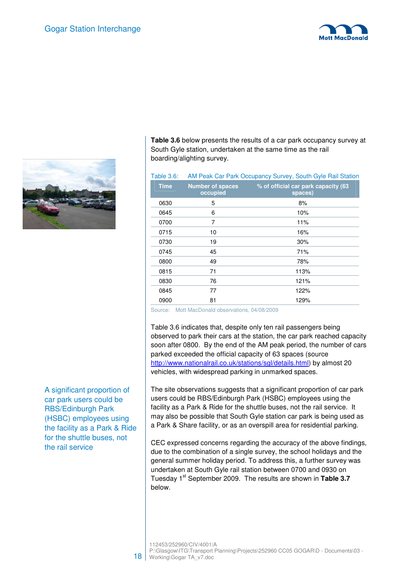



**Table 3.6** below presents the results of a car park occupancy survey at South Gyle station, undertaken at the same time as the rail boarding/alighting survey.

| <b>Table 3.6:</b> |                                     | AM Peak Car Park Occupancy Survey, South Gyle Rail Station |
|-------------------|-------------------------------------|------------------------------------------------------------|
| <b>Time</b>       | <b>Number of spaces</b><br>occupied | % of official car park capacity (63<br>spaces)             |
| 0630              | 5                                   | 8%                                                         |
| 0645              | 6                                   | 10%                                                        |
| 0700              | 7                                   | 11%                                                        |
| 0715              | 10                                  | 16%                                                        |
| 0730              | 19                                  | 30%                                                        |
| 0745              | 45                                  | 71%                                                        |
| 0800              | 49                                  | 78%                                                        |
| 0815              | 71                                  | 113%                                                       |
| 0830              | 76                                  | 121%                                                       |
| 0845              | 77                                  | 122%                                                       |
| 0900              | 81                                  | 129%                                                       |
|                   |                                     |                                                            |

Source: Mott MacDonald observations, 04/08/2009

Table 3.6 indicates that, despite only ten rail passengers being observed to park their cars at the station, the car park reached capacity soon after 0800. By the end of the AM peak period, the number of cars parked exceeded the official capacity of 63 spaces (source http://www.nationalrail.co.uk/stations/sgl/details.html) by almost 20 vehicles, with widespread parking in unmarked spaces.

The site observations suggests that a significant proportion of car park users could be RBS/Edinburgh Park (HSBC) employees using the facility as a Park & Ride for the shuttle buses, not the rail service. It may also be possible that South Gyle station car park is being used as a Park & Share facility, or as an overspill area for residential parking.

CEC expressed concerns regarding the accuracy of the above findings, due to the combination of a single survey, the school holidays and the general summer holiday period. To address this, a further survey was undertaken at South Gyle rail station between 0700 and 0930 on Tuesday 1<sup>st</sup> September 2009. The results are shown in Table 3.7 below.

A significant proportion of car park users could be RBS/Edinburgh Park (HSBC) employees using the facility as a Park & Ride for the shuttle buses, not the rail service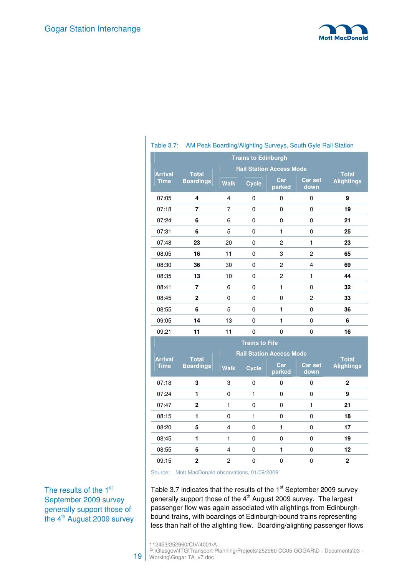

| AM Peak Boarding/Alighting Surveys, South Gyle Rail Station<br>Table 3.7: |                                  |                                        |                                 |                |                        |                                   |  |
|---------------------------------------------------------------------------|----------------------------------|----------------------------------------|---------------------------------|----------------|------------------------|-----------------------------------|--|
| <b>Trains to Edinburgh</b>                                                |                                  |                                        |                                 |                |                        |                                   |  |
|                                                                           | <b>Total</b><br><b>Boardings</b> | <b>Rail Station Access Mode</b>        |                                 |                |                        |                                   |  |
| <b>Arrival</b><br><b>Time</b>                                             |                                  | <b>Walk</b>                            | <b>Cycle</b>                    | Car<br>parked  | <b>Car set</b><br>down | <b>Total</b><br><b>Alightings</b> |  |
| 07:05                                                                     | 4                                | 4                                      | $\mathbf 0$                     | 0              | 0                      | 9                                 |  |
| 07:18                                                                     | 7                                | 7                                      | 0                               | 0              | 0                      | 19                                |  |
| 07:24                                                                     | 6                                | 6                                      | $\pmb{0}$                       | 0              | 0                      | 21                                |  |
| 07:31                                                                     | 6                                | 5                                      | $\mathbf 0$                     | $\mathbf{1}$   | 0                      | 25                                |  |
| 07:48                                                                     | 23                               | 20<br>$\mathbf 0$<br>2<br>$\mathbf{1}$ |                                 |                | 23                     |                                   |  |
| 08:05                                                                     | 16                               | 11                                     | $\mathbf 0$                     | 3              | $\overline{c}$         | 65                                |  |
| 08:30                                                                     | 36                               | 30                                     | $\pmb{0}$                       | $\overline{c}$ | 4                      | 69                                |  |
| 08:35                                                                     | 13                               | 10                                     | $\pmb{0}$                       | 2              | $\mathbf{1}$           | 44                                |  |
| 08:41                                                                     | 7                                | 6                                      | $\mathbf 0$                     | 1              | 0                      | 32                                |  |
| 08:45                                                                     | $\mathbf 2$                      | 0                                      | $\mathbf 0$                     | 0              | $\overline{c}$         | 33                                |  |
| 08:55                                                                     | 6                                | 5                                      | $\Omega$                        | $\mathbf{1}$   | $\Omega$               | 36                                |  |
| 09:05                                                                     | 14                               | 13                                     | $\pmb{0}$                       | $\mathbf{1}$   | 0                      | 6                                 |  |
| 09:21                                                                     | 11                               | 11                                     | $\mathbf 0$                     | $\mathbf{0}$   | 0                      | 16                                |  |
| <b>Trains to Fife</b>                                                     |                                  |                                        |                                 |                |                        |                                   |  |
|                                                                           |                                  |                                        | <b>Rail Station Access Mode</b> |                |                        |                                   |  |
| <b>Arrival</b><br><b>Time</b>                                             | <b>Total</b><br><b>Boardings</b> | <b>Walk</b>                            | <b>Cycle</b>                    | Car<br>parked  | <b>Car set</b><br>down | <b>Total</b><br><b>Alightings</b> |  |
| 07:18                                                                     | 3                                | 3                                      | 0                               | 0              | 0                      | $\mathbf{2}$                      |  |
| 07:24                                                                     | 1                                | 0                                      | $\mathbf{1}$                    | 0              | 0                      | 9                                 |  |
| 07:47                                                                     | $\overline{2}$                   | $\mathbf{1}$                           | $\mathbf 0$                     | 0              | $\mathbf{1}$           | 21                                |  |
| 08:15                                                                     | 1                                | 0                                      | $\mathbf{1}$                    | 0              | 0                      | 18                                |  |
| 08:20                                                                     | 5                                | 4                                      | $\pmb{0}$                       | $\mathbf{1}$   | 0                      | 17                                |  |

Source: Mott MacDonald observations, 01/09/2009

The results of the 1<sup>st</sup> September 2009 survey generally support those of the 4<sup>th</sup> August 2009 survey Table 3.7 indicates that the results of the  $1<sup>st</sup>$  September 2009 survey generally support those of the 4<sup>th</sup> August 2009 survey. The largest passenger flow was again associated with alightings from Edinburghbound trains, with boardings of Edinburgh-bound trains representing less than half of the alighting flow. Boarding/alighting passenger flows

08:45 **1** 1 0 0 0 **19**  08:55 **5** 4 0 1 0 **12**  09:15 **2** 2 0 0 0 **2** 

19 P:\Glasgow\ITG\Transport Planning\Projects\252960 CC05 GOGAR\D - Documents\03 -Working\Gogar TA\_v7.doc

<sup>112453/252960/</sup>CIV/4001/A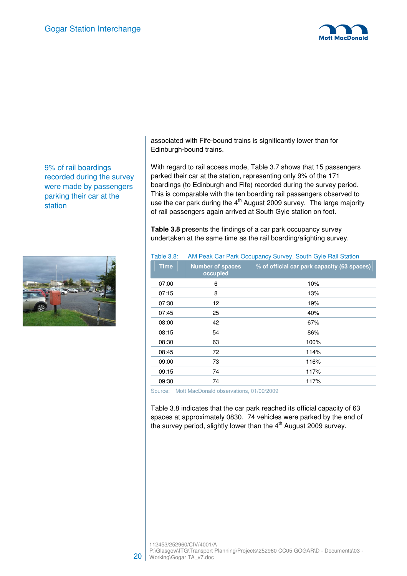

9% of rail boardings recorded during the survey were made by passengers parking their car at the station



associated with Fife-bound trains is significantly lower than for Edinburgh-bound trains.

With regard to rail access mode, Table 3.7 shows that 15 passengers parked their car at the station, representing only 9% of the 171 boardings (to Edinburgh and Fife) recorded during the survey period. This is comparable with the ten boarding rail passengers observed to use the car park during the  $4<sup>th</sup>$  August 2009 survey. The large majority of rail passengers again arrived at South Gyle station on foot.

**Table 3.8** presents the findings of a car park occupancy survey undertaken at the same time as the rail boarding/alighting survey.

#### Table 3.8: AM Peak Car Park Occupancy Survey, South Gyle Rail Station

| <b>Time</b> | <b>Number of spaces</b><br>occupied | % of official car park capacity (63 spaces) |
|-------------|-------------------------------------|---------------------------------------------|
| 07:00       | 6                                   | 10%                                         |
| 07:15       | 8                                   | 13%                                         |
| 07:30       | 12                                  | 19%                                         |
| 07:45       | 25                                  | 40%                                         |
| 08:00       | 42                                  | 67%                                         |
| 08:15       | 54                                  | 86%                                         |
| 08:30       | 63                                  | 100%                                        |
| 08:45       | 72                                  | 114%                                        |
| 09:00       | 73                                  | 116%                                        |
| 09:15       | 74                                  | 117%                                        |
| 09:30       | 74                                  | 117%                                        |
|             |                                     |                                             |

Source: Mott MacDonald observations, 01/09/2009

Table 3.8 indicates that the car park reached its official capacity of 63 spaces at approximately 0830. 74 vehicles were parked by the end of the survey period, slightly lower than the  $4<sup>th</sup>$  August 2009 survey.

112453/252960/CIV/4001/A

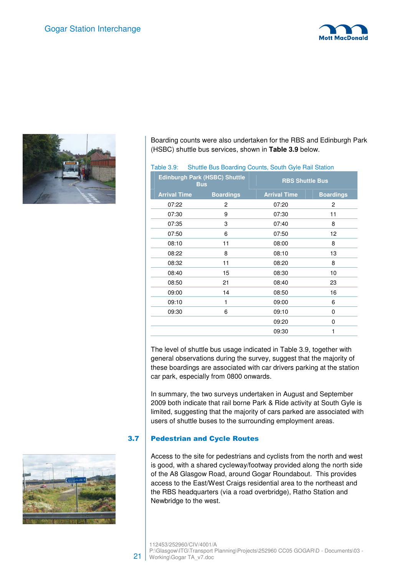



Boarding counts were also undertaken for the RBS and Edinburgh Park (HSBC) shuttle bus services, shown in **Table 3.9** below.

#### Table 3.9: Shuttle Bus Boarding Counts, South Gyle Rail Station

| <b>Edinburgh Park (HSBC) Shuttle</b><br><b>Bus</b> |                  | <b>RBS Shuttle Bus</b> |                  |  |  |
|----------------------------------------------------|------------------|------------------------|------------------|--|--|
| <b>Arrival Time</b>                                | <b>Boardings</b> | <b>Arrival Time</b>    | <b>Boardings</b> |  |  |
| 07:22                                              | 2                | 07:20                  | 2                |  |  |
| 07:30                                              | 9                | 07:30                  | 11               |  |  |
| 07:35                                              | 3                | 07:40                  | 8                |  |  |
| 07:50                                              | 6                | 07:50                  | 12               |  |  |
| 08:10                                              | 11               | 08:00                  | 8                |  |  |
| 08:22                                              | 8                | 08:10                  | 13               |  |  |
| 08:32                                              | 11               | 08:20                  | 8                |  |  |
| 08:40                                              | 15               | 08:30                  | 10               |  |  |
| 08:50                                              | 21               | 08:40                  | 23               |  |  |
| 09:00                                              | 14               | 08:50                  | 16               |  |  |
| 09:10                                              | 1                | 09:00                  | 6                |  |  |
| 09:30                                              | 6                | 09:10                  | $\Omega$         |  |  |
|                                                    |                  | 09:20                  | 0                |  |  |
|                                                    |                  | 09:30                  | 1                |  |  |
|                                                    |                  |                        |                  |  |  |

The level of shuttle bus usage indicated in Table 3.9, together with general observations during the survey, suggest that the majority of these boardings are associated with car drivers parking at the station car park, especially from 0800 onwards.

In summary, the two surveys undertaken in August and September 2009 both indicate that rail borne Park & Ride activity at South Gyle is limited, suggesting that the majority of cars parked are associated with users of shuttle buses to the surrounding employment areas.

#### 3.7 Pedestrian and Cycle Routes

Access to the site for pedestrians and cyclists from the north and west is good, with a shared cycleway/footway provided along the north side of the A8 Glasgow Road, around Gogar Roundabout. This provides access to the East/West Craigs residential area to the northeast and the RBS headquarters (via a road overbridge), Ratho Station and Newbridge to the west.



112453/252960/CIV/4001/A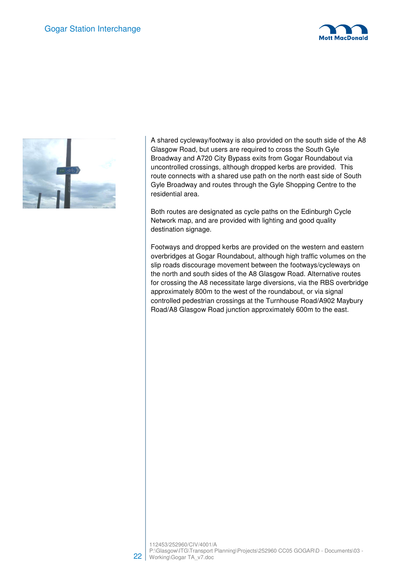



A shared cycleway/footway is also provided on the south side of the A8 Glasgow Road, but users are required to cross the South Gyle Broadway and A720 City Bypass exits from Gogar Roundabout via uncontrolled crossings, although dropped kerbs are provided. This route connects with a shared use path on the north east side of South Gyle Broadway and routes through the Gyle Shopping Centre to the residential area.

Both routes are designated as cycle paths on the Edinburgh Cycle Network map, and are provided with lighting and good quality destination signage.

Footways and dropped kerbs are provided on the western and eastern overbridges at Gogar Roundabout, although high traffic volumes on the slip roads discourage movement between the footways/cycleways on the north and south sides of the A8 Glasgow Road. Alternative routes for crossing the A8 necessitate large diversions, via the RBS overbridge approximately 800m to the west of the roundabout, or via signal controlled pedestrian crossings at the Turnhouse Road/A902 Maybury Road/A8 Glasgow Road junction approximately 600m to the east.

112453/252960/CIV/4001/A

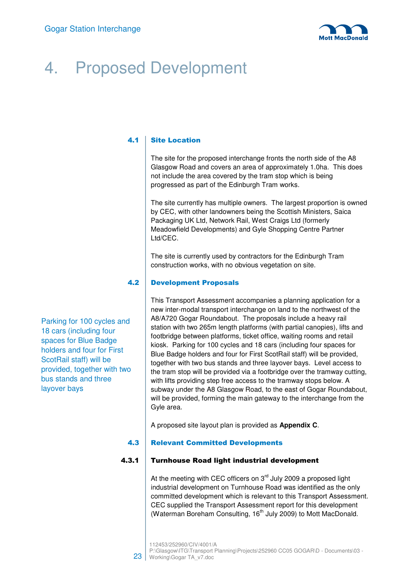

# 4. Proposed Development

#### 4.1 Site Location

The site for the proposed interchange fronts the north side of the A8 Glasgow Road and covers an area of approximately 1.0ha. This does not include the area covered by the tram stop which is being progressed as part of the Edinburgh Tram works.

The site currently has multiple owners. The largest proportion is owned by CEC, with other landowners being the Scottish Ministers, Saica Packaging UK Ltd, Network Rail, West Craigs Ltd (formerly Meadowfield Developments) and Gyle Shopping Centre Partner Ltd/CEC.

The site is currently used by contractors for the Edinburgh Tram construction works, with no obvious vegetation on site.

#### 4.2 Development Proposals

Parking for 100 cycles and 18 cars (including four spaces for Blue Badge holders and four for First ScotRail staff) will be provided, together with two bus stands and three layover bays

This Transport Assessment accompanies a planning application for a new inter-modal transport interchange on land to the northwest of the A8/A720 Gogar Roundabout. The proposals include a heavy rail station with two 265m length platforms (with partial canopies), lifts and footbridge between platforms, ticket office, waiting rooms and retail kiosk. Parking for 100 cycles and 18 cars (including four spaces for Blue Badge holders and four for First ScotRail staff) will be provided, together with two bus stands and three layover bays. Level access to the tram stop will be provided via a footbridge over the tramway cutting, with lifts providing step free access to the tramway stops below. A subway under the A8 Glasgow Road, to the east of Gogar Roundabout, will be provided, forming the main gateway to the interchange from the Gyle area.

A proposed site layout plan is provided as **Appendix C**.

#### 4.3 **Relevant Committed Developments**

#### 4.3.1 Turnhouse Road light industrial development

At the meeting with CEC officers on  $3<sup>rd</sup>$  July 2009 a proposed light industrial development on Turnhouse Road was identified as the only committed development which is relevant to this Transport Assessment. CEC supplied the Transport Assessment report for this development (Waterman Boreham Consulting, 16<sup>th</sup> July 2009) to Mott MacDonald.

23

<sup>112453/252960/</sup>CIV/4001/A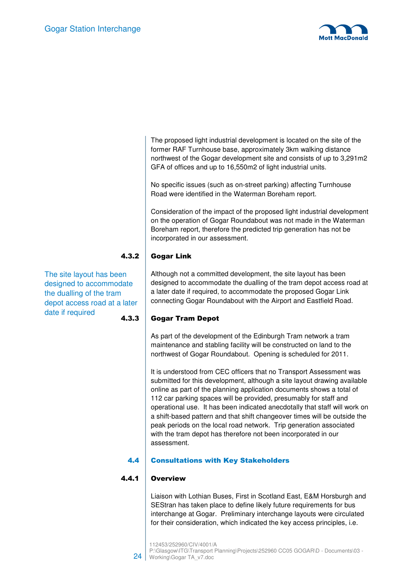

The proposed light industrial development is located on the site of the former RAF Turnhouse base, approximately 3km walking distance northwest of the Gogar development site and consists of up to 3,291m2 GFA of offices and up to 16,550m2 of light industrial units.

No specific issues (such as on-street parking) affecting Turnhouse Road were identified in the Waterman Boreham report.

Consideration of the impact of the proposed light industrial development on the operation of Gogar Roundabout was not made in the Waterman Boreham report, therefore the predicted trip generation has not be incorporated in our assessment.

#### 4.3.2 Gogar Link

The site layout has been designed to accommodate the dualling of the tram depot access road at a later date if required

Although not a committed development, the site layout has been designed to accommodate the dualling of the tram depot access road at a later date if required, to accommodate the proposed Gogar Link connecting Gogar Roundabout with the Airport and Eastfield Road.

### 4.3.3 Gogar Tram Depot

As part of the development of the Edinburgh Tram network a tram maintenance and stabling facility will be constructed on land to the northwest of Gogar Roundabout. Opening is scheduled for 2011.

It is understood from CEC officers that no Transport Assessment was submitted for this development, although a site layout drawing available online as part of the planning application documents shows a total of 112 car parking spaces will be provided, presumably for staff and operational use. It has been indicated anecdotally that staff will work on a shift-based pattern and that shift changeover times will be outside the peak periods on the local road network. Trip generation associated with the tram depot has therefore not been incorporated in our assessment.

#### 4.4 Consultations with Key Stakeholders

#### 4.4.1 Overview

Liaison with Lothian Buses, First in Scotland East, E&M Horsburgh and SEStran has taken place to define likely future requirements for bus interchange at Gogar. Preliminary interchange layouts were circulated for their consideration, which indicated the key access principles, i.e.

112453/252960/CIV/4001/A

24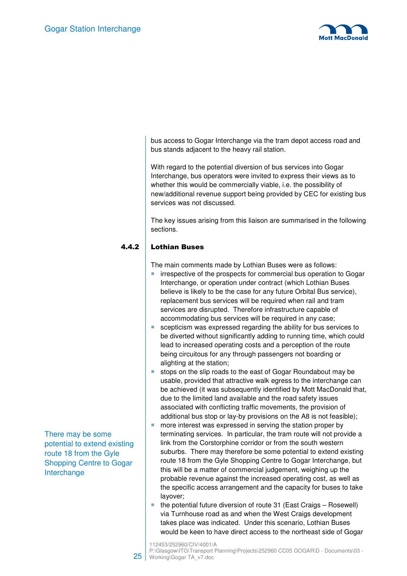

bus access to Gogar Interchange via the tram depot access road and bus stands adjacent to the heavy rail station.

With regard to the potential diversion of bus services into Gogar Interchange, bus operators were invited to express their views as to whether this would be commercially viable, i.e. the possibility of new/additional revenue support being provided by CEC for existing bus services was not discussed.

The key issues arising from this liaison are summarised in the following sections.

#### 4.4.2 Lothian Buses

The main comments made by Lothian Buses were as follows:

- $\blacksquare$  irrespective of the prospects for commercial bus operation to Gogar Interchange, or operation under contract (which Lothian Buses believe is likely to be the case for any future Orbital Bus service), replacement bus services will be required when rail and tram services are disrupted. Therefore infrastructure capable of accommodating bus services will be required in any case;
- scepticism was expressed regarding the ability for bus services to be diverted without significantly adding to running time, which could lead to increased operating costs and a perception of the route being circuitous for any through passengers not boarding or alighting at the station;
- stops on the slip roads to the east of Gogar Roundabout may be usable, provided that attractive walk egress to the interchange can be achieved (it was subsequently identified by Mott MacDonald that, due to the limited land available and the road safety issues associated with conflicting traffic movements, the provision of additional bus stop or lay-by provisions on the A8 is not feasible);
- more interest was expressed in serving the station proper by terminating services. In particular, the tram route will not provide a link from the Corstorphine corridor or from the south western suburbs. There may therefore be some potential to extend existing route 18 from the Gyle Shopping Centre to Gogar Interchange, but this will be a matter of commercial judgement, weighing up the probable revenue against the increased operating cost, as well as the specific access arrangement and the capacity for buses to take layover;
- the potential future diversion of route 31 (East Craigs Rosewell) via Turnhouse road as and when the West Craigs development takes place was indicated. Under this scenario, Lothian Buses would be keen to have direct access to the northeast side of Gogar

There may be some potential to extend existing route 18 from the Gyle Shopping Centre to Gogar Interchange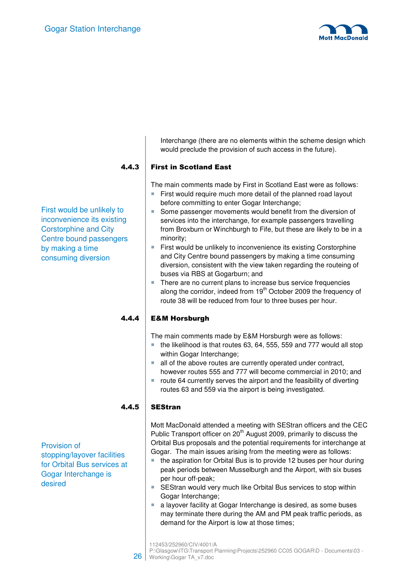

Interchange (there are no elements within the scheme design which would preclude the provision of such access in the future).

### 4.4.3 First in Scotland East

The main comments made by First in Scotland East were as follows:

- First would require much more detail of the planned road layout before committing to enter Gogar Interchange;
- Some passenger movements would benefit from the diversion of services into the interchange, for example passengers travelling from Broxburn or Winchburgh to Fife, but these are likely to be in a minority;
- **First would be unlikely to inconvenience its existing Corstorphine** and City Centre bound passengers by making a time consuming diversion, consistent with the view taken regarding the routeing of buses via RBS at Gogarburn; and
- There are no current plans to increase bus service frequencies along the corridor, indeed from  $19<sup>th</sup>$  October 2009 the frequency of route 38 will be reduced from four to three buses per hour.

#### 4.4.4 E&M Horsburgh

The main comments made by E&M Horsburgh were as follows:

- $\blacksquare$  the likelihood is that routes 63, 64, 555, 559 and 777 would all stop within Gogar Interchange;
- all of the above routes are currently operated under contract, however routes 555 and 777 will become commercial in 2010; and
- route 64 currently serves the airport and the feasibility of diverting routes 63 and 559 via the airport is being investigated.

### $4.4.5$  SEStran

Mott MacDonald attended a meeting with SEStran officers and the CEC Public Transport officer on 20<sup>th</sup> August 2009, primarily to discuss the Orbital Bus proposals and the potential requirements for interchange at Gogar. The main issues arising from the meeting were as follows:

- the aspiration for Orbital Bus is to provide 12 buses per hour during peak periods between Musselburgh and the Airport, with six buses per hour off-peak;
- **SEStran would very much like Orbital Bus services to stop within** Gogar Interchange;
- a layover facility at Gogar Interchange is desired, as some buses may terminate there during the AM and PM peak traffic periods, as demand for the Airport is low at those times;

Provision of stopping/layover facilities for Orbital Bus services at Gogar Interchange is desired

First would be unlikely to inconvenience its existing Corstorphine and City Centre bound passengers by making a time consuming diversion

<sup>112453/252960/</sup>CIV/4001/A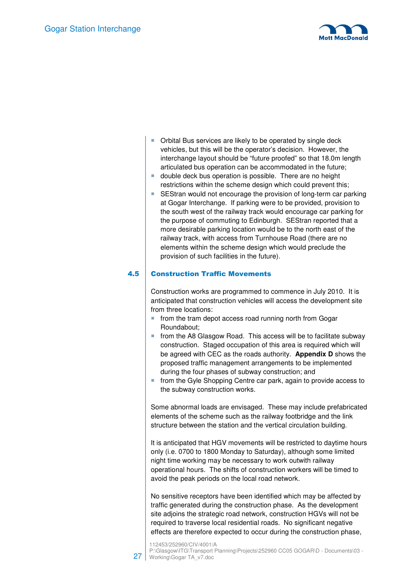

- Orbital Bus services are likely to be operated by single deck vehicles, but this will be the operator's decision. However, the interchange layout should be "future proofed" so that 18.0m length articulated bus operation can be accommodated in the future;
- double deck bus operation is possible. There are no height restrictions within the scheme design which could prevent this;
- SEStran would not encourage the provision of long-term car parking at Gogar Interchange. If parking were to be provided, provision to the south west of the railway track would encourage car parking for the purpose of commuting to Edinburgh. SEStran reported that a more desirable parking location would be to the north east of the railway track, with access from Turnhouse Road (there are no elements within the scheme design which would preclude the provision of such facilities in the future).

#### 4.5 Construction Traffic Movements

Construction works are programmed to commence in July 2010. It is anticipated that construction vehicles will access the development site from three locations:

- **from the tram depot access road running north from Gogar** Roundabout;
- $\blacksquare$  from the A8 Glasgow Road. This access will be to facilitate subway construction. Staged occupation of this area is required which will be agreed with CEC as the roads authority. **Appendix D** shows the proposed traffic management arrangements to be implemented during the four phases of subway construction; and
- from the Gyle Shopping Centre car park, again to provide access to the subway construction works.

Some abnormal loads are envisaged. These may include prefabricated elements of the scheme such as the railway footbridge and the link structure between the station and the vertical circulation building.

It is anticipated that HGV movements will be restricted to daytime hours only (i.e. 0700 to 1800 Monday to Saturday), although some limited night time working may be necessary to work outwith railway operational hours. The shifts of construction workers will be timed to avoid the peak periods on the local road network.

No sensitive receptors have been identified which may be affected by traffic generated during the construction phase. As the development site adjoins the strategic road network, construction HGVs will not be required to traverse local residential roads. No significant negative effects are therefore expected to occur during the construction phase,

<sup>112453/252960/</sup>CIV/4001/A